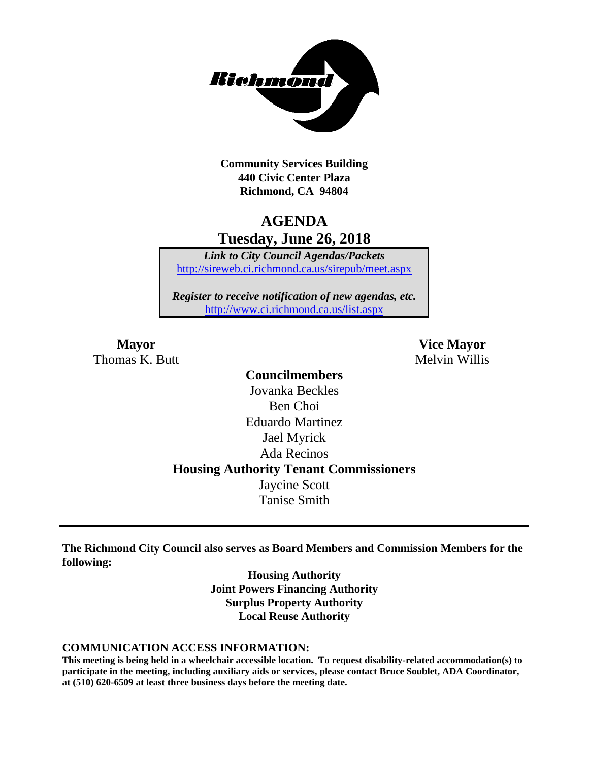

**Community Services Building 440 Civic Center Plaza Richmond, CA 94804**

# **AGENDA Tuesday, June 26, 2018**

*Link to City Council Agendas/Packets* <http://sireweb.ci.richmond.ca.us/sirepub/meet.aspx>

*Register to receive notification of new agendas, etc.* <http://www.ci.richmond.ca.us/list.aspx>

Thomas K. Butt Melvin Willis

**Mayor Vice Mayor**

**Councilmembers** Jovanka Beckles Ben Choi Eduardo Martinez Jael Myrick Ada Recinos **Housing Authority Tenant Commissioners** Jaycine Scott Tanise Smith

**The Richmond City Council also serves as Board Members and Commission Members for the following:**

> **Housing Authority Joint Powers Financing Authority Surplus Property Authority Local Reuse Authority**

#### **COMMUNICATION ACCESS INFORMATION:**

**This meeting is being held in a wheelchair accessible location. To request disability-related accommodation(s) to participate in the meeting, including auxiliary aids or services, please contact Bruce Soublet, ADA Coordinator, at (510) 620-6509 at least three business days before the meeting date.**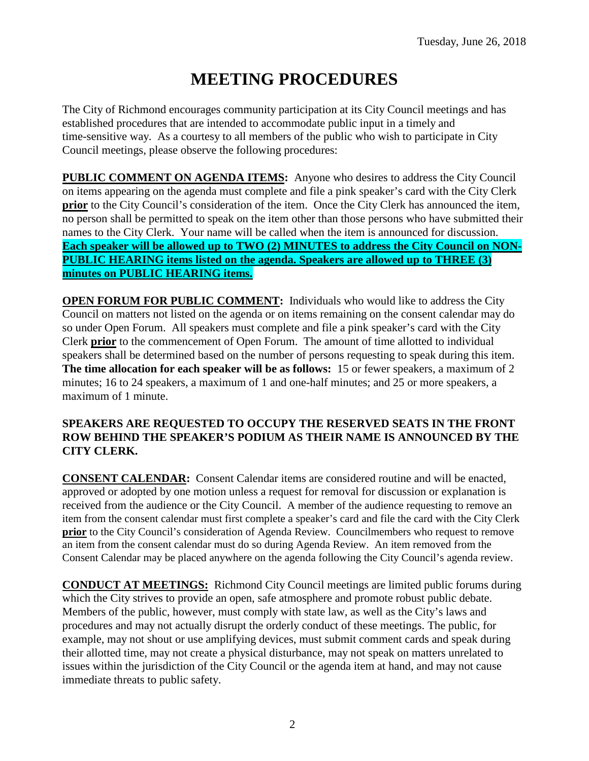# **MEETING PROCEDURES**

The City of Richmond encourages community participation at its City Council meetings and has established procedures that are intended to accommodate public input in a timely and time-sensitive way. As a courtesy to all members of the public who wish to participate in City Council meetings, please observe the following procedures:

**PUBLIC COMMENT ON AGENDA ITEMS:** Anyone who desires to address the City Council on items appearing on the agenda must complete and file a pink speaker's card with the City Clerk **prior** to the City Council's consideration of the item. Once the City Clerk has announced the item, no person shall be permitted to speak on the item other than those persons who have submitted their names to the City Clerk. Your name will be called when the item is announced for discussion. **Each speaker will be allowed up to TWO (2) MINUTES to address the City Council on NON-PUBLIC HEARING items listed on the agenda. Speakers are allowed up to THREE (3) minutes on PUBLIC HEARING items.**

**OPEN FORUM FOR PUBLIC COMMENT:** Individuals who would like to address the City Council on matters not listed on the agenda or on items remaining on the consent calendar may do so under Open Forum. All speakers must complete and file a pink speaker's card with the City Clerk **prior** to the commencement of Open Forum. The amount of time allotted to individual speakers shall be determined based on the number of persons requesting to speak during this item. **The time allocation for each speaker will be as follows:** 15 or fewer speakers, a maximum of 2 minutes; 16 to 24 speakers, a maximum of 1 and one-half minutes; and 25 or more speakers, a maximum of 1 minute.

#### **SPEAKERS ARE REQUESTED TO OCCUPY THE RESERVED SEATS IN THE FRONT ROW BEHIND THE SPEAKER'S PODIUM AS THEIR NAME IS ANNOUNCED BY THE CITY CLERK.**

**CONSENT CALENDAR:** Consent Calendar items are considered routine and will be enacted, approved or adopted by one motion unless a request for removal for discussion or explanation is received from the audience or the City Council. A member of the audience requesting to remove an item from the consent calendar must first complete a speaker's card and file the card with the City Clerk **prior** to the City Council's consideration of Agenda Review. Councilmembers who request to remove an item from the consent calendar must do so during Agenda Review. An item removed from the Consent Calendar may be placed anywhere on the agenda following the City Council's agenda review.

**CONDUCT AT MEETINGS:** Richmond City Council meetings are limited public forums during which the City strives to provide an open, safe atmosphere and promote robust public debate. Members of the public, however, must comply with state law, as well as the City's laws and procedures and may not actually disrupt the orderly conduct of these meetings. The public, for example, may not shout or use amplifying devices, must submit comment cards and speak during their allotted time, may not create a physical disturbance, may not speak on matters unrelated to issues within the jurisdiction of the City Council or the agenda item at hand, and may not cause immediate threats to public safety.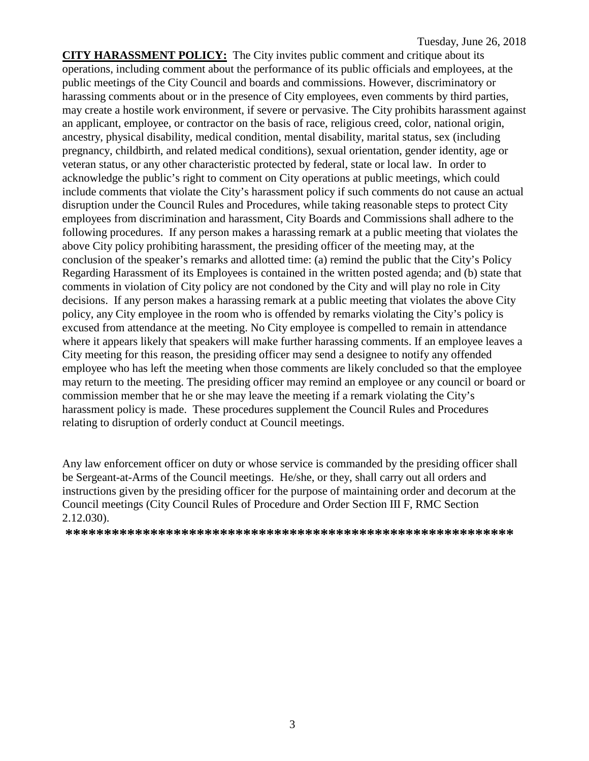**CITY HARASSMENT POLICY:** The City invites public comment and critique about its operations, including comment about the performance of its public officials and employees, at the public meetings of the City Council and boards and commissions. However, discriminatory or harassing comments about or in the presence of City employees, even comments by third parties, may create a hostile work environment, if severe or pervasive. The City prohibits harassment against an applicant, employee, or contractor on the basis of race, religious creed, color, national origin, ancestry, physical disability, medical condition, mental disability, marital status, sex (including pregnancy, childbirth, and related medical conditions), sexual orientation, gender identity, age or veteran status, or any other characteristic protected by federal, state or local law. In order to acknowledge the public's right to comment on City operations at public meetings, which could include comments that violate the City's harassment policy if such comments do not cause an actual disruption under the Council Rules and Procedures, while taking reasonable steps to protect City employees from discrimination and harassment, City Boards and Commissions shall adhere to the following procedures. If any person makes a harassing remark at a public meeting that violates the above City policy prohibiting harassment, the presiding officer of the meeting may, at the conclusion of the speaker's remarks and allotted time: (a) remind the public that the City's Policy Regarding Harassment of its Employees is contained in the written posted agenda; and (b) state that comments in violation of City policy are not condoned by the City and will play no role in City decisions. If any person makes a harassing remark at a public meeting that violates the above City policy, any City employee in the room who is offended by remarks violating the City's policy is excused from attendance at the meeting. No City employee is compelled to remain in attendance where it appears likely that speakers will make further harassing comments. If an employee leaves a City meeting for this reason, the presiding officer may send a designee to notify any offended employee who has left the meeting when those comments are likely concluded so that the employee may return to the meeting. The presiding officer may remind an employee or any council or board or commission member that he or she may leave the meeting if a remark violating the City's harassment policy is made. These procedures supplement the Council Rules and Procedures relating to disruption of orderly conduct at Council meetings.

Any law enforcement officer on duty or whose service is commanded by the presiding officer shall be Sergeant-at-Arms of the Council meetings. He/she, or they, shall carry out all orders and instructions given by the presiding officer for the purpose of maintaining order and decorum at the Council meetings (City Council Rules of Procedure and Order Section III F, RMC Section 2.12.030).

**\*\*\*\*\*\*\*\*\*\*\*\*\*\*\*\*\*\*\*\*\*\*\*\*\*\*\*\*\*\*\*\*\*\*\*\*\*\*\*\*\*\*\*\*\*\*\*\*\*\*\*\*\*\*\*\*\*\***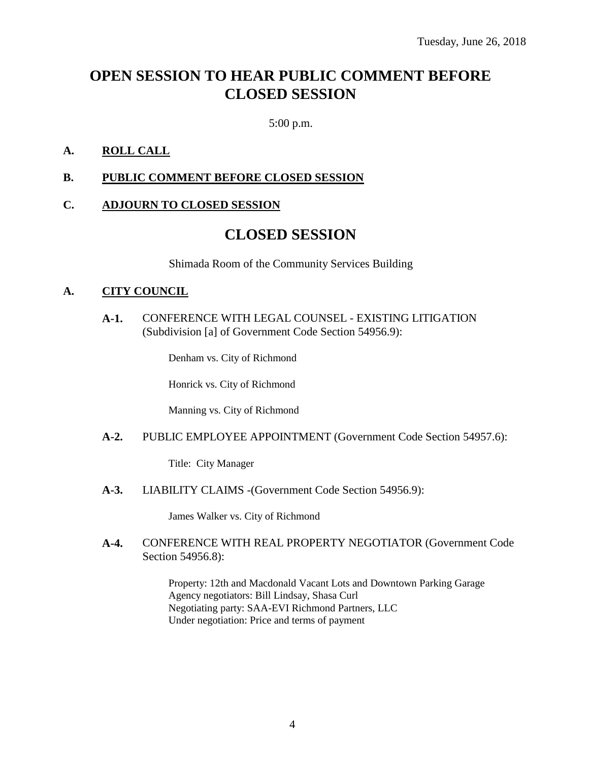# **OPEN SESSION TO HEAR PUBLIC COMMENT BEFORE CLOSED SESSION**

5:00 p.m.

### **A. ROLL CALL**

**B. PUBLIC COMMENT BEFORE CLOSED SESSION**

#### **C. ADJOURN TO CLOSED SESSION**

# **CLOSED SESSION**

Shimada Room of the Community Services Building

#### **A. CITY COUNCIL**

**A-1.** CONFERENCE WITH LEGAL COUNSEL - EXISTING LITIGATION (Subdivision [a] of Government Code Section 54956.9):

Denham vs. City of Richmond

Honrick vs. City of Richmond

Manning vs. City of Richmond

#### **A-2.** PUBLIC EMPLOYEE APPOINTMENT (Government Code Section 54957.6):

Title: City Manager

**A-3.** LIABILITY CLAIMS -(Government Code Section 54956.9):

James Walker vs. City of Richmond

#### **A-4.** CONFERENCE WITH REAL PROPERTY NEGOTIATOR (Government Code Section 54956.8):

Property: 12th and Macdonald Vacant Lots and Downtown Parking Garage Agency negotiators: Bill Lindsay, Shasa Curl Negotiating party: SAA-EVI Richmond Partners, LLC Under negotiation: Price and terms of payment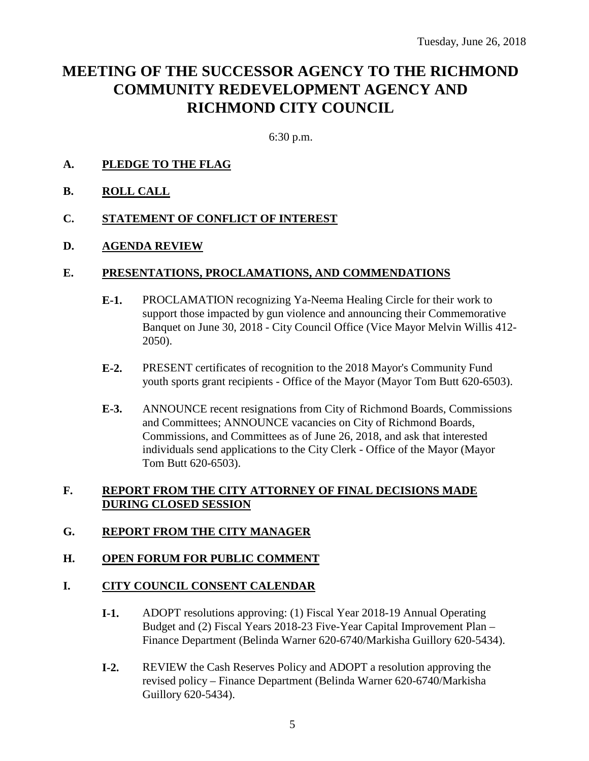# **MEETING OF THE SUCCESSOR AGENCY TO THE RICHMOND COMMUNITY REDEVELOPMENT AGENCY AND RICHMOND CITY COUNCIL**

6:30 p.m.

## **A. PLEDGE TO THE FLAG**

**B. ROLL CALL**

#### **C. STATEMENT OF CONFLICT OF INTEREST**

#### **D. AGENDA REVIEW**

#### **E. PRESENTATIONS, PROCLAMATIONS, AND COMMENDATIONS**

- **E-1.** PROCLAMATION recognizing Ya-Neema Healing Circle for their work to support those impacted by gun violence and announcing their Commemorative Banquet on June 30, 2018 - City Council Office (Vice Mayor Melvin Willis 412- 2050).
- **E-2.** PRESENT certificates of recognition to the 2018 Mayor's Community Fund youth sports grant recipients - Office of the Mayor (Mayor Tom Butt 620-6503).
- **E-3.** ANNOUNCE recent resignations from City of Richmond Boards, Commissions and Committees; ANNOUNCE vacancies on City of Richmond Boards, Commissions, and Committees as of June 26, 2018, and ask that interested individuals send applications to the City Clerk - Office of the Mayor (Mayor Tom Butt 620-6503).

#### **F. REPORT FROM THE CITY ATTORNEY OF FINAL DECISIONS MADE DURING CLOSED SESSION**

#### **G. REPORT FROM THE CITY MANAGER**

#### **H. OPEN FORUM FOR PUBLIC COMMENT**

#### **I. CITY COUNCIL CONSENT CALENDAR**

- **I-1.** ADOPT resolutions approving: (1) Fiscal Year 2018-19 Annual Operating Budget and (2) Fiscal Years 2018-23 Five-Year Capital Improvement Plan – Finance Department (Belinda Warner 620-6740/Markisha Guillory 620-5434).
- **I-2.** REVIEW the Cash Reserves Policy and ADOPT a resolution approving the revised policy – Finance Department (Belinda Warner 620-6740/Markisha Guillory 620-5434).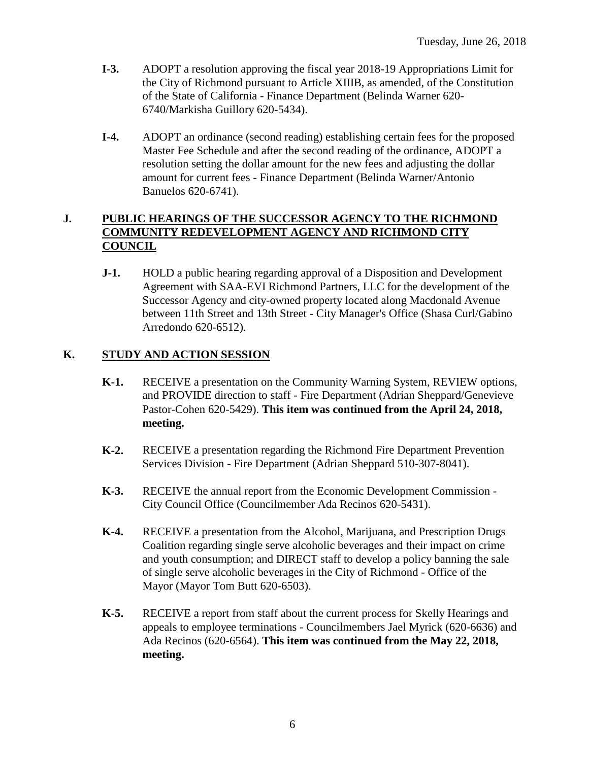- **I-3.** ADOPT a resolution approving the fiscal year 2018-19 Appropriations Limit for the City of Richmond pursuant to Article XIIIB, as amended, of the Constitution of the State of California - Finance Department (Belinda Warner 620- 6740/Markisha Guillory 620-5434).
- **I-4.** ADOPT an ordinance (second reading) establishing certain fees for the proposed Master Fee Schedule and after the second reading of the ordinance, ADOPT a resolution setting the dollar amount for the new fees and adjusting the dollar amount for current fees - Finance Department (Belinda Warner/Antonio Banuelos 620-6741).

### **J. PUBLIC HEARINGS OF THE SUCCESSOR AGENCY TO THE RICHMOND COMMUNITY REDEVELOPMENT AGENCY AND RICHMOND CITY COUNCIL**

**J-1.** HOLD a public hearing regarding approval of a Disposition and Development Agreement with SAA-EVI Richmond Partners, LLC for the development of the Successor Agency and city-owned property located along Macdonald Avenue between 11th Street and 13th Street - City Manager's Office (Shasa Curl/Gabino Arredondo 620-6512).

### **K. STUDY AND ACTION SESSION**

- **K-1.** RECEIVE a presentation on the Community Warning System, REVIEW options, and PROVIDE direction to staff - Fire Department (Adrian Sheppard/Genevieve Pastor-Cohen 620-5429). **This item was continued from the April 24, 2018, meeting.**
- **K-2.** RECEIVE a presentation regarding the Richmond Fire Department Prevention Services Division - Fire Department (Adrian Sheppard 510-307-8041).
- **K-3.** RECEIVE the annual report from the Economic Development Commission City Council Office (Councilmember Ada Recinos 620-5431).
- **K-4.** RECEIVE a presentation from the Alcohol, Marijuana, and Prescription Drugs Coalition regarding single serve alcoholic beverages and their impact on crime and youth consumption; and DIRECT staff to develop a policy banning the sale of single serve alcoholic beverages in the City of Richmond - Office of the Mayor (Mayor Tom Butt 620-6503).
- **K-5.** RECEIVE a report from staff about the current process for Skelly Hearings and appeals to employee terminations - Councilmembers Jael Myrick (620-6636) and Ada Recinos (620-6564). **This item was continued from the May 22, 2018, meeting.**